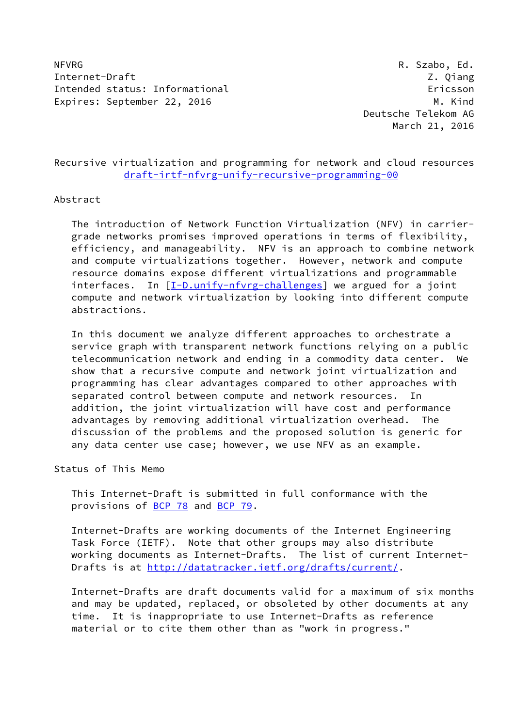NFVRG R. Szabo, Ed. Internet-Draft Z. Qiang Intended status: Informational example of the example of the example of the example of the example of the example of the example of the example of the example of the example of the example of the example of the example of Expires: September 22, 2016 M. Kind

# Recursive virtualization and programming for network and cloud resources [draft-irtf-nfvrg-unify-recursive-programming-00](https://datatracker.ietf.org/doc/pdf/draft-irtf-nfvrg-unify-recursive-programming-00)

## Abstract

 The introduction of Network Function Virtualization (NFV) in carrier grade networks promises improved operations in terms of flexibility, efficiency, and manageability. NFV is an approach to combine network and compute virtualizations together. However, network and compute resource domains expose different virtualizations and programmable interfaces. In [\[I-D.unify-nfvrg-challenges\]](#page-43-0) we argued for a joint compute and network virtualization by looking into different compute abstractions.

 In this document we analyze different approaches to orchestrate a service graph with transparent network functions relying on a public telecommunication network and ending in a commodity data center. We show that a recursive compute and network joint virtualization and programming has clear advantages compared to other approaches with separated control between compute and network resources. In addition, the joint virtualization will have cost and performance advantages by removing additional virtualization overhead. The discussion of the problems and the proposed solution is generic for any data center use case; however, we use NFV as an example.

Status of This Memo

 This Internet-Draft is submitted in full conformance with the provisions of <u>BCP 78</u> and **BCP 79.** 

 Internet-Drafts are working documents of the Internet Engineering Task Force (IETF). Note that other groups may also distribute working documents as Internet-Drafts. The list of current Internet- Drafts is at<http://datatracker.ietf.org/drafts/current/>.

 Internet-Drafts are draft documents valid for a maximum of six months and may be updated, replaced, or obsoleted by other documents at any time. It is inappropriate to use Internet-Drafts as reference material or to cite them other than as "work in progress."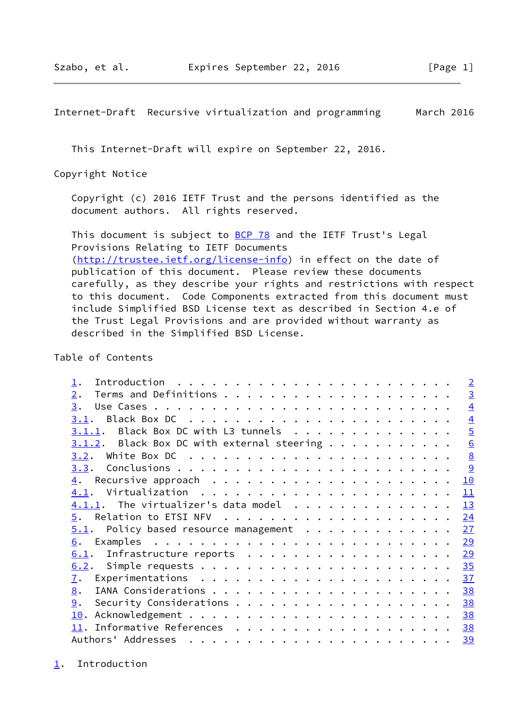<span id="page-1-1"></span>This Internet-Draft will expire on September 22, 2016.

Copyright Notice

 Copyright (c) 2016 IETF Trust and the persons identified as the document authors. All rights reserved.

This document is subject to **[BCP 78](https://datatracker.ietf.org/doc/pdf/bcp78)** and the IETF Trust's Legal Provisions Relating to IETF Documents [\(http://trustee.ietf.org/license-info](http://trustee.ietf.org/license-info)) in effect on the date of publication of this document. Please review these documents carefully, as they describe your rights and restrictions with respect to this document. Code Components extracted from this document must include Simplified BSD License text as described in Section 4.e of the Trust Legal Provisions and are provided without warranty as described in the Simplified BSD License.

Table of Contents

<span id="page-1-0"></span>

|                                               | $\overline{2}$  |
|-----------------------------------------------|-----------------|
| 2.                                            | $\overline{3}$  |
| 3.                                            | $\overline{4}$  |
| 3.1.                                          | $\overline{4}$  |
| $3.1.1.$ Black Box DC with L3 tunnels         | $\overline{5}$  |
| $3.1.2$ . Black Box DC with external steering | 6               |
|                                               | $\underline{8}$ |
|                                               | 9               |
|                                               | 10              |
| 4.1.                                          | 11              |
|                                               | 13              |
| 5.                                            | 24              |
| Policy based resource management<br>5.1.      | 27              |
| 6.                                            | 29              |
| Infrastructure reports<br>6.1.                | 29              |
|                                               | 35              |
| $\overline{1}$ .                              | 37              |
| 8.                                            | 38              |
| 9.                                            | 38              |
| 10.                                           | 38              |
|                                               | 38              |
| Authors' Addresses                            | 39              |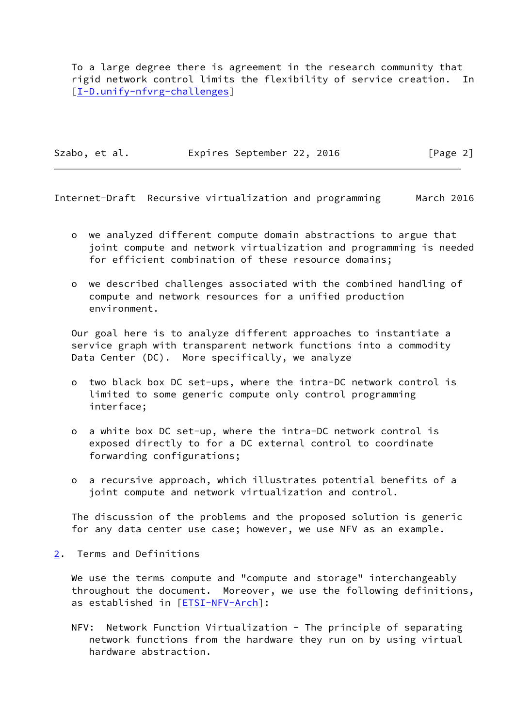To a large degree there is agreement in the research community that rigid network control limits the flexibility of service creation. In [\[I-D.unify-nfvrg-challenges\]](#page-43-0)

Szabo, et al. Expires September 22, 2016 [Page 2]

<span id="page-2-1"></span>Internet-Draft Recursive virtualization and programming March 2016

- o we analyzed different compute domain abstractions to argue that joint compute and network virtualization and programming is needed for efficient combination of these resource domains;
- o we described challenges associated with the combined handling of compute and network resources for a unified production environment.

 Our goal here is to analyze different approaches to instantiate a service graph with transparent network functions into a commodity Data Center (DC). More specifically, we analyze

- o two black box DC set-ups, where the intra-DC network control is limited to some generic compute only control programming interface;
- o a white box DC set-up, where the intra-DC network control is exposed directly to for a DC external control to coordinate forwarding configurations;
- o a recursive approach, which illustrates potential benefits of a joint compute and network virtualization and control.

 The discussion of the problems and the proposed solution is generic for any data center use case; however, we use NFV as an example.

<span id="page-2-0"></span>[2](#page-2-0). Terms and Definitions

We use the terms compute and "compute and storage" interchangeably throughout the document. Moreover, we use the following definitions, as established in [[ETSI-NFV-Arch\]](#page-42-5):

 NFV: Network Function Virtualization - The principle of separating network functions from the hardware they run on by using virtual hardware abstraction.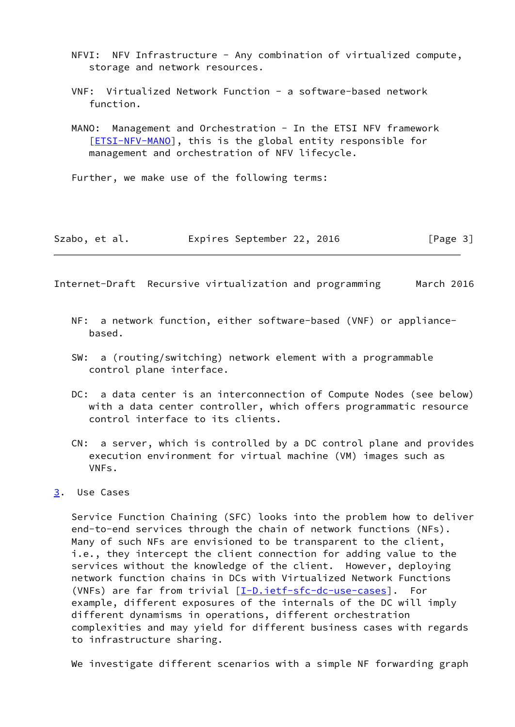- NFVI: NFV Infrastructure Any combination of virtualized compute, storage and network resources.
- VNF: Virtualized Network Function a software-based network function.
- MANO: Management and Orchestration In the ETSI NFV framework [[ETSI-NFV-MANO\]](#page-42-6), this is the global entity responsible for management and orchestration of NFV lifecycle.

Further, we make use of the following terms:

| Szabo, et al. |  | Expires September 22, 2016 |  |  | [Page 3] |
|---------------|--|----------------------------|--|--|----------|
|---------------|--|----------------------------|--|--|----------|

<span id="page-3-1"></span>Internet-Draft Recursive virtualization and programming March 2016

- NF: a network function, either software-based (VNF) or appliance based.
- SW: a (routing/switching) network element with a programmable control plane interface.
- DC: a data center is an interconnection of Compute Nodes (see below) with a data center controller, which offers programmatic resource control interface to its clients.
- CN: a server, which is controlled by a DC control plane and provides execution environment for virtual machine (VM) images such as VNFs.
- <span id="page-3-0"></span>[3](#page-3-0). Use Cases

 Service Function Chaining (SFC) looks into the problem how to deliver end-to-end services through the chain of network functions (NFs). Many of such NFs are envisioned to be transparent to the client, i.e., they intercept the client connection for adding value to the services without the knowledge of the client. However, deploying network function chains in DCs with Virtualized Network Functions (VNFs) are far from trivial [\[I-D.ietf-sfc-dc-use-cases](#page-42-7)]. For example, different exposures of the internals of the DC will imply different dynamisms in operations, different orchestration complexities and may yield for different business cases with regards to infrastructure sharing.

We investigate different scenarios with a simple NF forwarding graph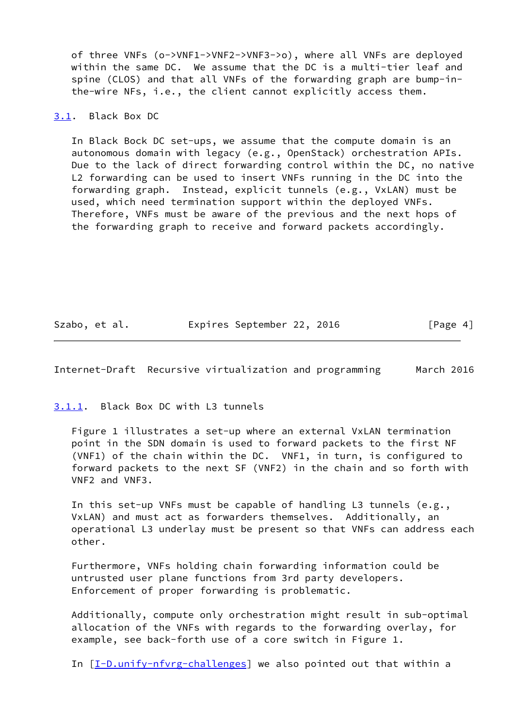of three VNFs (o->VNF1->VNF2->VNF3->o), where all VNFs are deployed within the same DC. We assume that the DC is a multi-tier leaf and spine (CLOS) and that all VNFs of the forwarding graph are bump-in the-wire NFs, i.e., the client cannot explicitly access them.

<span id="page-4-0"></span>[3.1](#page-4-0). Black Box DC

 In Black Bock DC set-ups, we assume that the compute domain is an autonomous domain with legacy (e.g., OpenStack) orchestration APIs. Due to the lack of direct forwarding control within the DC, no native L2 forwarding can be used to insert VNFs running in the DC into the forwarding graph. Instead, explicit tunnels (e.g., VxLAN) must be used, which need termination support within the deployed VNFs. Therefore, VNFs must be aware of the previous and the next hops of the forwarding graph to receive and forward packets accordingly.

Szabo, et al. **Expires September 22, 2016** [Page 4]

<span id="page-4-2"></span>Internet-Draft Recursive virtualization and programming March 2016

<span id="page-4-1"></span>[3.1.1](#page-4-1). Black Box DC with L3 tunnels

 Figure 1 illustrates a set-up where an external VxLAN termination point in the SDN domain is used to forward packets to the first NF (VNF1) of the chain within the DC. VNF1, in turn, is configured to forward packets to the next SF (VNF2) in the chain and so forth with VNF2 and VNF3.

 In this set-up VNFs must be capable of handling L3 tunnels (e.g., VxLAN) and must act as forwarders themselves. Additionally, an operational L3 underlay must be present so that VNFs can address each other.

 Furthermore, VNFs holding chain forwarding information could be untrusted user plane functions from 3rd party developers. Enforcement of proper forwarding is problematic.

 Additionally, compute only orchestration might result in sub-optimal allocation of the VNFs with regards to the forwarding overlay, for example, see back-forth use of a core switch in Figure 1.

In [[I-D.unify-nfvrg-challenges\]](#page-43-0) we also pointed out that within a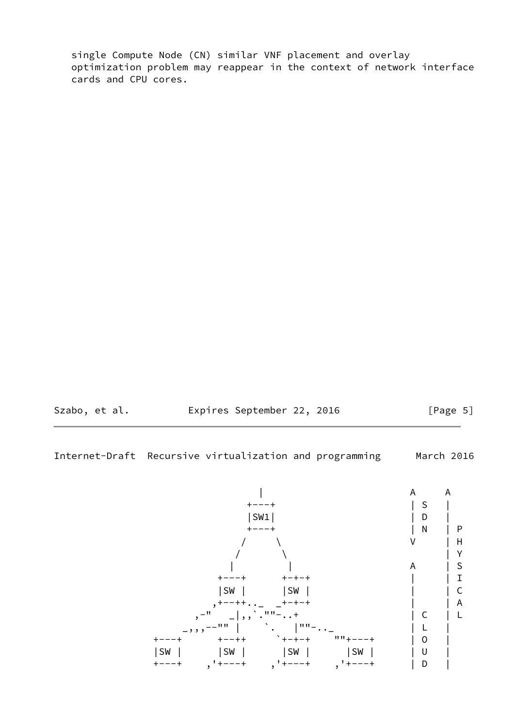single Compute Node (CN) similar VNF placement and overlay optimization problem may reappear in the context of network interface cards and CPU cores.

<span id="page-5-0"></span>

Szabo, et al. **Expires September 22, 2016** [Page 5]

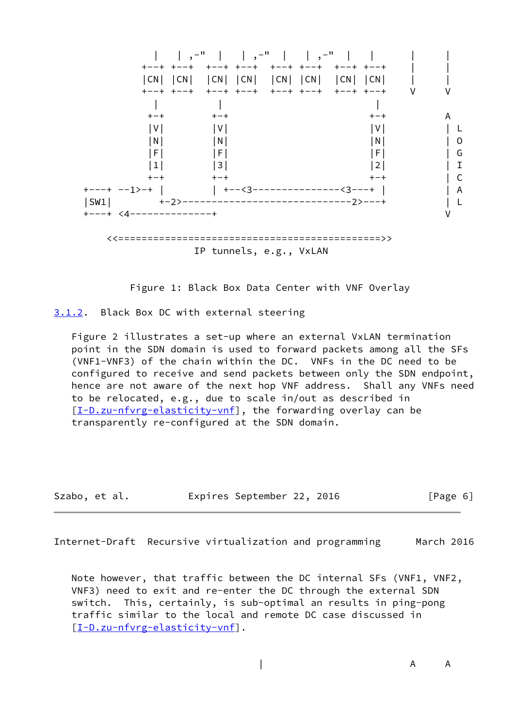

Figure 1: Black Box Data Center with VNF Overlay

<span id="page-6-0"></span>[3.1.2](#page-6-0). Black Box DC with external steering

 Figure 2 illustrates a set-up where an external VxLAN termination point in the SDN domain is used to forward packets among all the SFs (VNF1-VNF3) of the chain within the DC. VNFs in the DC need to be configured to receive and send packets between only the SDN endpoint, hence are not aware of the next hop VNF address. Shall any VNFs need to be relocated, e.g., due to scale in/out as described in [\[I-D.zu-nfvrg-elasticity-vnf](#page-43-2)], the forwarding overlay can be transparently re-configured at the SDN domain.

Szabo, et al. Expires September 22, 2016 [Page 6]

Internet-Draft Recursive virtualization and programming March 2016

 Note however, that traffic between the DC internal SFs (VNF1, VNF2, VNF3) need to exit and re-enter the DC through the external SDN switch. This, certainly, is sub-optimal an results in ping-pong traffic similar to the local and remote DC case discussed in [\[I-D.zu-nfvrg-elasticity-vnf](#page-43-2)].

| A A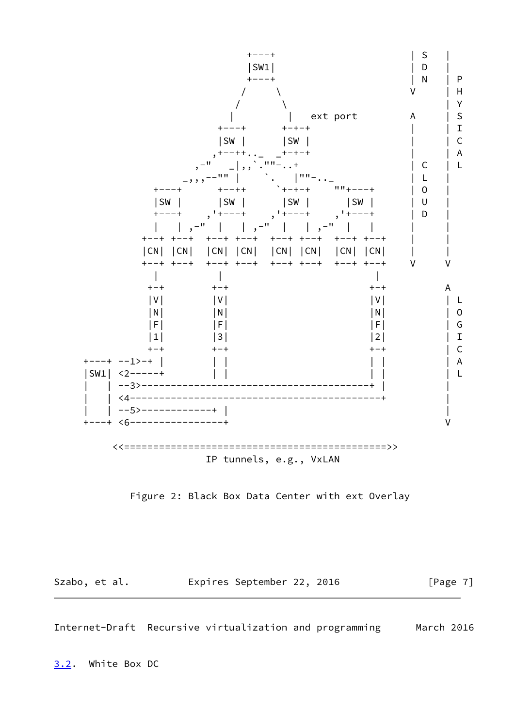



Szabo, et al. **Expires September 22, 2016** [Page 7]

<span id="page-7-1"></span>Internet-Draft Recursive virtualization and programming March 2016

<span id="page-7-0"></span>[3.2](#page-7-0). White Box DC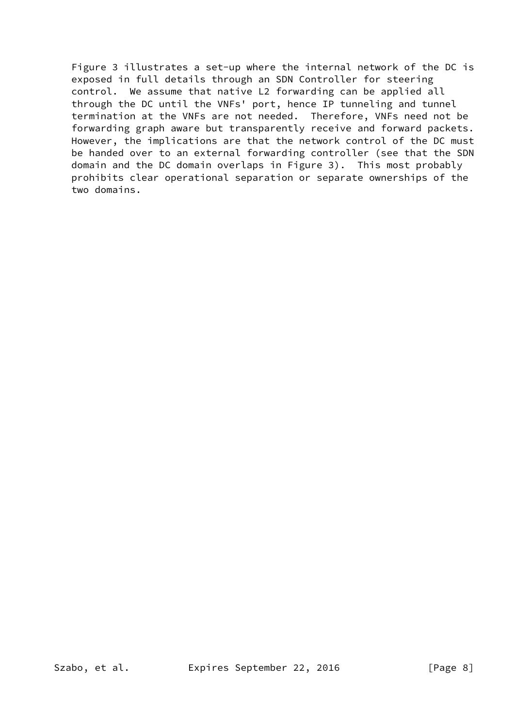Figure 3 illustrates a set-up where the internal network of the DC is exposed in full details through an SDN Controller for steering control. We assume that native L2 forwarding can be applied all through the DC until the VNFs' port, hence IP tunneling and tunnel termination at the VNFs are not needed. Therefore, VNFs need not be forwarding graph aware but transparently receive and forward packets. However, the implications are that the network control of the DC must be handed over to an external forwarding controller (see that the SDN domain and the DC domain overlaps in Figure 3). This most probably prohibits clear operational separation or separate ownerships of the two domains.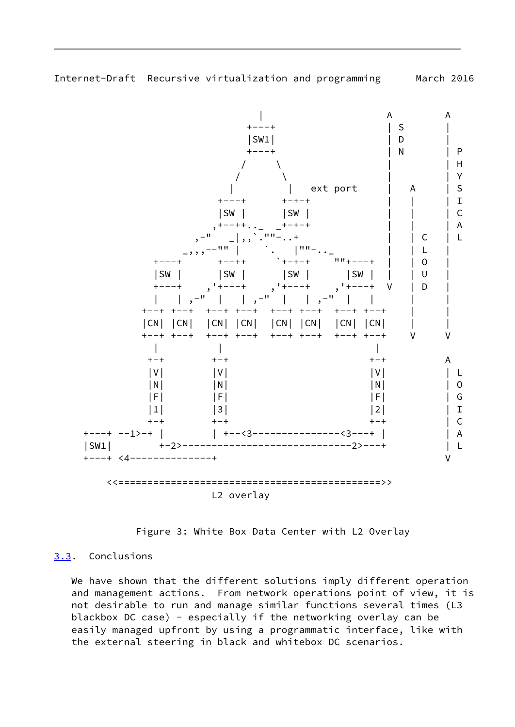<span id="page-9-1"></span>

L2 overlay

Figure 3: White Box Data Center with L2 Overlay

## <span id="page-9-0"></span>[3.3](#page-9-0). Conclusions

 We have shown that the different solutions imply different operation and management actions. From network operations point of view, it is not desirable to run and manage similar functions several times (L3 blackbox DC case) - especially if the networking overlay can be easily managed upfront by using a programmatic interface, like with the external steering in black and whitebox DC scenarios.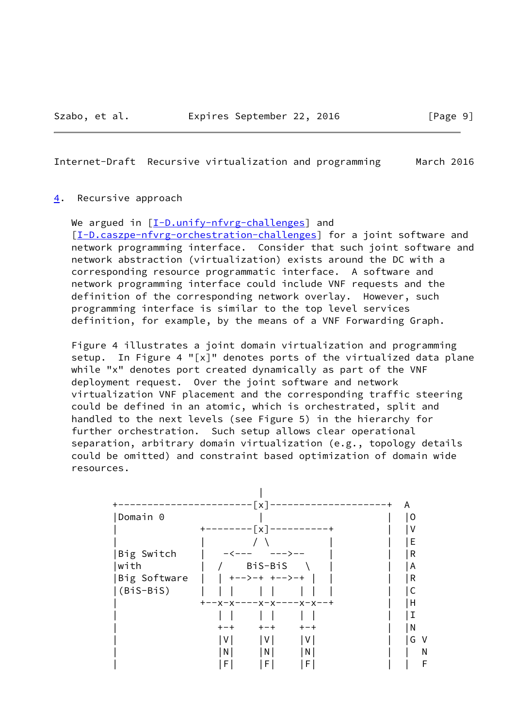### <span id="page-10-1"></span><span id="page-10-0"></span>[4](#page-10-0). Recursive approach

We argued in  $[I-D.unify-nfvrg-challenges]$  and [\[I-D.caszpe-nfvrg-orchestration-challenges](#page-42-8)] for a joint software and network programming interface. Consider that such joint software and network abstraction (virtualization) exists around the DC with a corresponding resource programmatic interface. A software and network programming interface could include VNF requests and the definition of the corresponding network overlay. However, such programming interface is similar to the top level services definition, for example, by the means of a VNF Forwarding Graph.

 Figure 4 illustrates a joint domain virtualization and programming setup. In Figure 4 "[x]" denotes ports of the virtualized data plane while "x" denotes port created dynamically as part of the VNF deployment request. Over the joint software and network virtualization VNF placement and the corresponding traffic steering could be defined in an atomic, which is orchestrated, split and handled to the next levels (see Figure 5) in the hierarchy for further orchestration. Such setup allows clear operational separation, arbitrary domain virtualization (e.g., topology details could be omitted) and constraint based optimization of domain wide resources.

|              | $---[x]$                      | A<br>---- |
|--------------|-------------------------------|-----------|
| Domain 0     |                               | 0         |
|              | $------[x]$                   |           |
|              |                               | Е         |
| Big Switch   |                               | R         |
| with         | BiS-BiS                       | A         |
| Big Software | +-->-+ +-->-+                 | R         |
| $(BiS-BiS)$  |                               |           |
|              | +--x-x----x-x----x-x---       | Н         |
|              |                               |           |
|              | $+ - +$<br>$+ - +$<br>$+ - +$ | N         |
|              | V  <br>$\vee$<br> V           | G.<br>V   |
|              | $\mathsf{N}$<br>N<br>N        | N         |
|              | F <br>F<br>F                  | F         |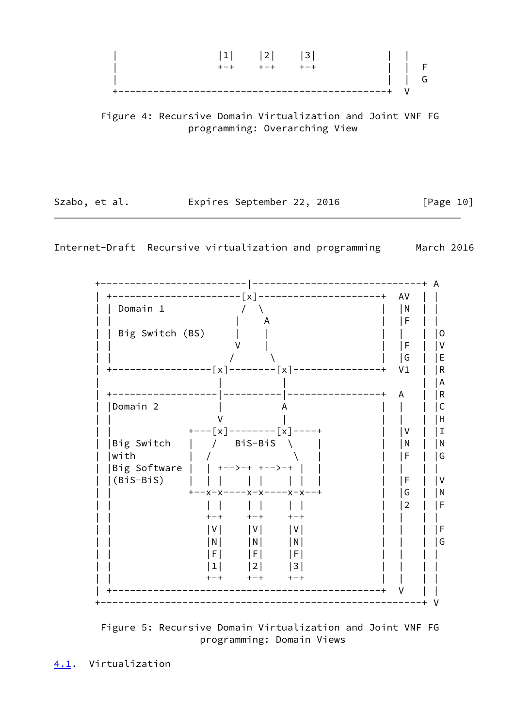

 Figure 4: Recursive Domain Virtualization and Joint VNF FG programming: Overarching View

<span id="page-11-1"></span>

| Szabo, et al. |  | Expires September 22, 2016 |  |  | [Page 10] |  |
|---------------|--|----------------------------|--|--|-----------|--|
|---------------|--|----------------------------|--|--|-----------|--|

| Domain 1            |                                               | N<br>F         |
|---------------------|-----------------------------------------------|----------------|
| Big Switch (BS)     |                                               |                |
|                     |                                               | F              |
|                     |                                               | G              |
|                     | ---------[x]--------[x]-------                | V <sub>1</sub> |
|                     |                                               |                |
|                     |                                               | A              |
| Domain <sub>2</sub> |                                               |                |
|                     |                                               |                |
|                     | +----[x]--------[x]----+                      | V              |
| Big Switch          | / BiS-BiS                                     | N              |
| with                |                                               | F              |
| Big Software        | │ +-->-+ +-->-+                               |                |
| (BiS-BiS)           |                                               | F              |
|                     |                                               | G              |
|                     | +-<br>$+ - +$                                 | 2              |
|                     | l V l<br>I V I<br>IV.                         |                |
|                     | $\lfloor N \rfloor$<br> N <br>$\vert N \vert$ |                |
|                     | l F I<br>F <br>IF.                            |                |
|                     | 1 <sub>1</sub><br>$\vert 2 \vert$<br> 3       |                |
|                     | $+ - +$<br>$+ - +$<br>$+ - +$                 |                |

<span id="page-11-0"></span>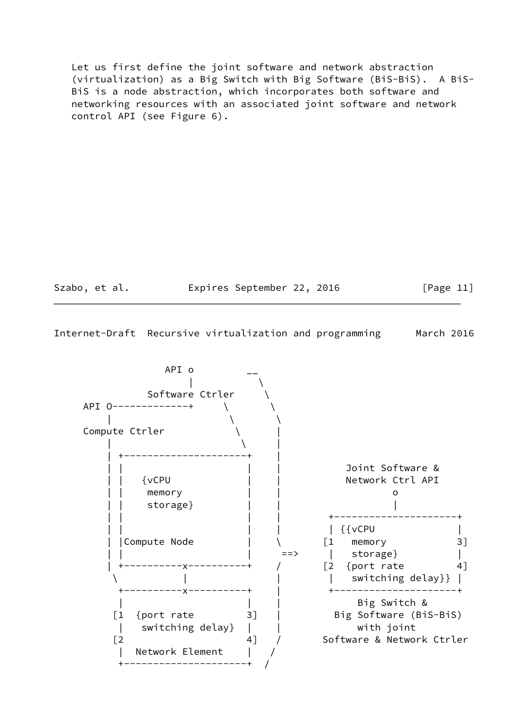Let us first define the joint software and network abstraction (virtualization) as a Big Switch with Big Software (BiS-BiS). A BiS- BiS is a node abstraction, which incorporates both software and networking resources with an associated joint software and network control API (see Figure 6).

Szabo, et al. **Expires September 22, 2016** [Page 11]

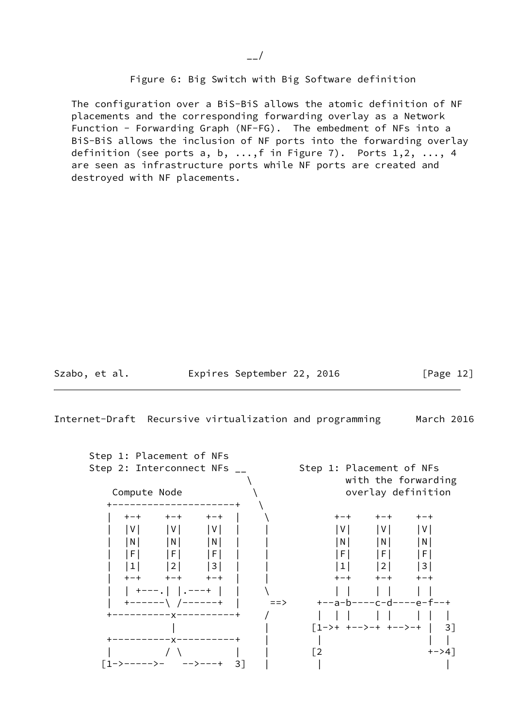Figure 6: Big Switch with Big Software definition

 The configuration over a BiS-BiS allows the atomic definition of NF placements and the corresponding forwarding overlay as a Network Function - Forwarding Graph (NF-FG). The embedment of NFs into a BiS-BiS allows the inclusion of NF ports into the forwarding overlay definition (see ports a, b,  $\dots$ , f in Figure 7). Ports  $1, 2, \dots$ , 4 are seen as infrastructure ports while NF ports are created and destroyed with NF placements.

<span id="page-13-0"></span>Szabo, et al. Expires September 22, 2016 [Page 12]

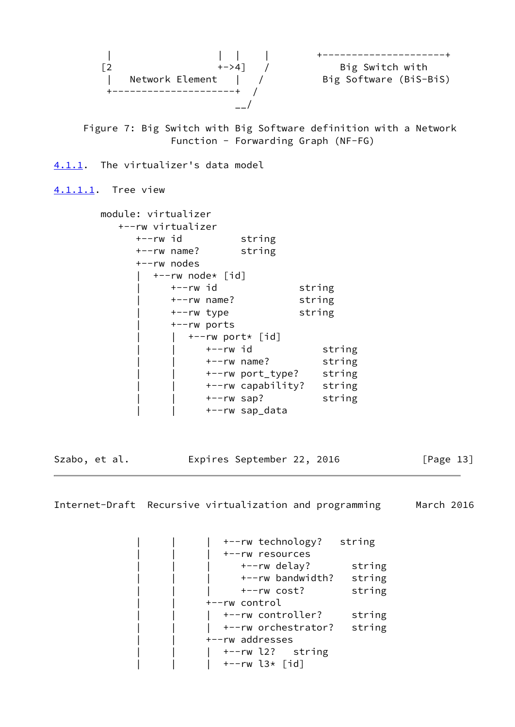

 Figure 7: Big Switch with Big Software definition with a Network Function - Forwarding Graph (NF-FG)

<span id="page-14-0"></span>[4.1.1](#page-14-0). The virtualizer's data model

<span id="page-14-1"></span>[4.1.1.1](#page-14-1). Tree view

|                         | string                                                                                                            |                                                                                                       |                                       |
|-------------------------|-------------------------------------------------------------------------------------------------------------------|-------------------------------------------------------------------------------------------------------|---------------------------------------|
|                         | string                                                                                                            |                                                                                                       |                                       |
|                         |                                                                                                                   |                                                                                                       |                                       |
|                         |                                                                                                                   |                                                                                                       |                                       |
|                         |                                                                                                                   | string                                                                                                |                                       |
|                         |                                                                                                                   | string                                                                                                |                                       |
|                         |                                                                                                                   | string                                                                                                |                                       |
|                         |                                                                                                                   |                                                                                                       |                                       |
|                         |                                                                                                                   |                                                                                                       |                                       |
|                         |                                                                                                                   |                                                                                                       | string                                |
|                         |                                                                                                                   |                                                                                                       | string                                |
|                         |                                                                                                                   |                                                                                                       | string                                |
|                         |                                                                                                                   |                                                                                                       | string                                |
|                         |                                                                                                                   |                                                                                                       | string                                |
|                         |                                                                                                                   |                                                                                                       |                                       |
| +--rw id<br>+--rw nodes | module: virtualizer<br>+--rw virtualizer<br>+--rw name?<br>+--rw id<br>$+--rw$ name?<br>+--rw type<br>+--rw ports | +--rw node* [id]<br>$+--rw$ port* [id]<br>+--rw id<br>$+--rw$ name?<br>$+--rw$ sap?<br>+--rw sap_data | +--rw port_type?<br>+--rw capability? |

Szabo, et al. **Expires September 22, 2016** [Page 13]

Internet-Draft Recursive virtualization and programming March 2016

+--rw technology? string | | | +--rw resources | | | +--rw delay? string | | | +--rw bandwidth? string | | +--rw cost? string | | +--rw control |  $+-rw$  controller? string | | | +--rw orchestrator? string | | +--rw addresses | | | +--rw l2? string | | | +--rw l3\* [id]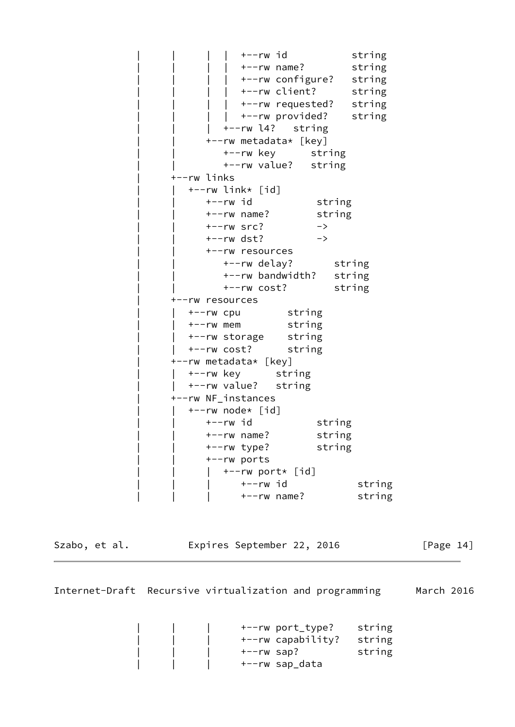+--rw id string | | | | +--rw name? string | +--rw configure? string | | | | +--rw client? string |  $+-rw$  requested? string | +--rw provided? string | +--rw l4? string | | +--rw metadata\* [key] +--rw key string | | +--rw value? string | +--rw links | | +--rw link\* [id] +--rw id string | | +--rw name? string  $+--rw$  src?  $->$  $+--rw$  dst?  $->>$  | | +--rw resources | | +--rw delay? string +--rw bandwidth? string | | +--rw cost? string | +--rw resources | | +--rw cpu string | | +--rw mem string | | +--rw storage string | | +--rw cost? string | +--rw metadata\* [key] | | +--rw key string |  $+-rw$  value? string | +--rw NF\_instances | | +--rw node\* [id] +--rw id string | | +--rw name? string | | +--rw type? string | | +--rw ports  $|$  +--rw port\* [id] +--rw id string | | | +--rw name? string

Szabo, et al. **Expires September 22, 2016** [Page 14]

Internet-Draft Recursive virtualization and programming March 2016

 | | | +--rw port\_type? string +--rw capability? string | | | +--rw sap? string | | | +--rw sap\_data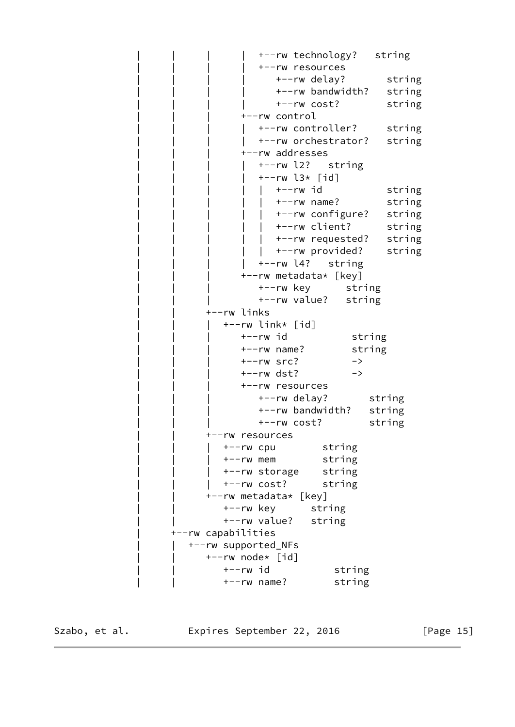| | | | +--rw technology? string | | | | +--rw resources | | | | +--rw delay? string | | | | +--rw bandwidth? string | | | | +--rw cost? string | | | +--rw control +--rw controller? string +--rw orchestrator? string | | | +--rw addresses +--rw l2? string  $+--rw$  l3\* [id]  $|$  +--rw id string | | | | | +--rw name? string | | | | | +--rw configure? string | | | | | +--rw client? string  $|$  +--rw requested? string  $|$  +--rw provided? string | | | | +--rw l4? string +--rw metadata\* [key] | | | +--rw key string | | | +--rw value? string | | +--rw links  $+--rw$  link\*  $\lceil id \rceil$ +--rw id string | | | +--rw name? string  $+--rw$  src?  $->$  | | | +--rw dst? -> | | | +--rw resources | | | +--rw delay? string +--rw bandwidth? string | | | +--rw cost? string | | +--rw resources | | | +--rw cpu string | | | +--rw mem string | | | +--rw storage string | | | +--rw cost? string | | +--rw metadata\* [key] | | +--rw key string | | +--rw value? string | +--rw capabilities | | +--rw supported\_NFs | | +--rw node\* [id] +--rw id string | | +--rw name? string

Szabo, et al. **Expires September 22, 2016** [Page 15]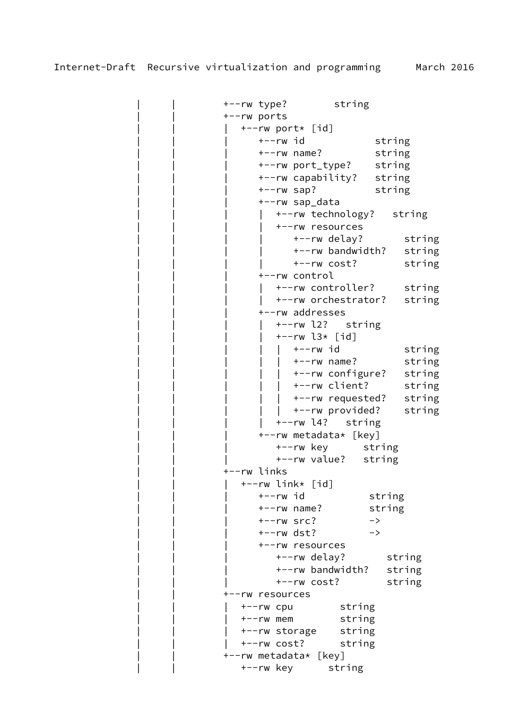| | +--rw type? string | | +--rw ports  $+--rw$  port\* [id] +--rw id string | | | +--rw name? string | | | +--rw port\_type? string +--rw capability? string | | | +--rw sap? string | | | +--rw sap\_data | | | | +--rw technology? string | | | | +--rw resources +--rw delay? string +--rw bandwidth? string +--rw cost? string | | | +--rw control +--rw controller? string +--rw orchestrator? string | | | +--rw addresses | | | | +--rw l2? string  $+--rw$  l3\* [id] +--rw id string | | | | | +--rw name? string | +--rw configure? string | +--rw client? string |  $+-rw$  requested? string +--rw provided? string | | | | +--rw l4? string | | | +--rw metadata\* [key] +--rw key string | | | +--rw value? string | | +--rw links  $+--rw$  link $*$  [id] +--rw id string | | | +--rw name? string  $+--rw$  src?  $->$  | | | +--rw dst? -> | | | +--rw resources | | | +--rw delay? string | | | +--rw bandwidth? string | | | +--rw cost? string | | +--rw resources | | | +--rw cpu string | | | +--rw mem string | | | +--rw storage string | | | +--rw cost? string | | +--rw metadata\* [key] | | +--rw key string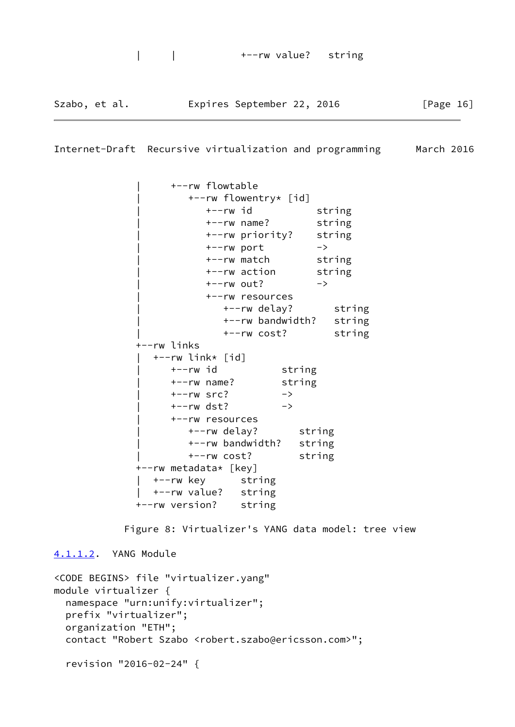| Szabo, et al. | Expires September 22, 2016 |  |  |  | [Page 16] |
|---------------|----------------------------|--|--|--|-----------|
|---------------|----------------------------|--|--|--|-----------|

```
 | +--rw flowtable
         | +--rw flowentry* [id]
           | +--rw id string
           | +--rw name? string
           | +--rw priority? string
          +--rw port -> | +--rw match string
           | +--rw action string
          +--rw out? -> | +--rw resources
              | +--rw delay? string
              | +--rw bandwidth? string
              | +--rw cost? string
 +--rw links
   | +--rw link* [id]
      | +--rw id string
      | +--rw name? string
     +--rw src? ->+--rw dst? -> | +--rw resources
         | +--rw delay? string
         | +--rw bandwidth? string
         | +--rw cost? string
 +--rw metadata* [key]
   | +--rw key string
   | +--rw value? string
 +--rw version? string
```
Figure 8: Virtualizer's YANG data model: tree view

<span id="page-18-0"></span>[4.1.1.2](#page-18-0). YANG Module

```
<CODE BEGINS> file "virtualizer.yang"
module virtualizer {
   namespace "urn:unify:virtualizer";
   prefix "virtualizer";
   organization "ETH";
   contact "Robert Szabo <robert.szabo@ericsson.com>";
   revision "2016-02-24" {
```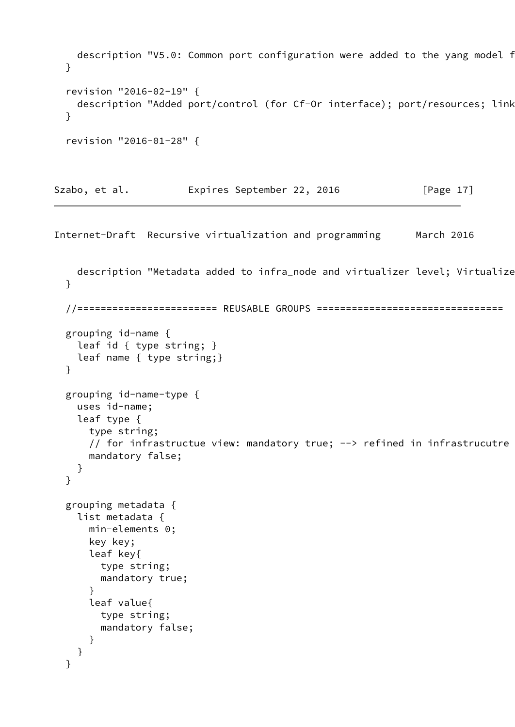```
description "V5.0: Common port configuration were added to the yang model f
  }
  revision "2016-02-19" {
   description "Added port/control (for Cf-Or interface); port/resources; link
  }
  revision "2016-01-28" {
Szabo, et al. Expires September 22, 2016 [Page 17]
Internet-Draft Recursive virtualization and programming March 2016
   description "Metadata added to infra_node and virtualizer level; Virtualize
  }
  //======================== REUSABLE GROUPS ================================
  grouping id-name {
    leaf id { type string; }
    leaf name { type string;}
```

```
 grouping id-name-type {
   uses id-name;
   leaf type {
     type string;
    // for infrastructue view: mandatory true; \rightarrow refined in infrastrucutre
     mandatory false;
   }
 }
 grouping metadata {
   list metadata {
     min-elements 0;
     key key;
     leaf key{
       type string;
       mandatory true;
     }
     leaf value{
       type string;
       mandatory false;
     }
   }
 }
```
}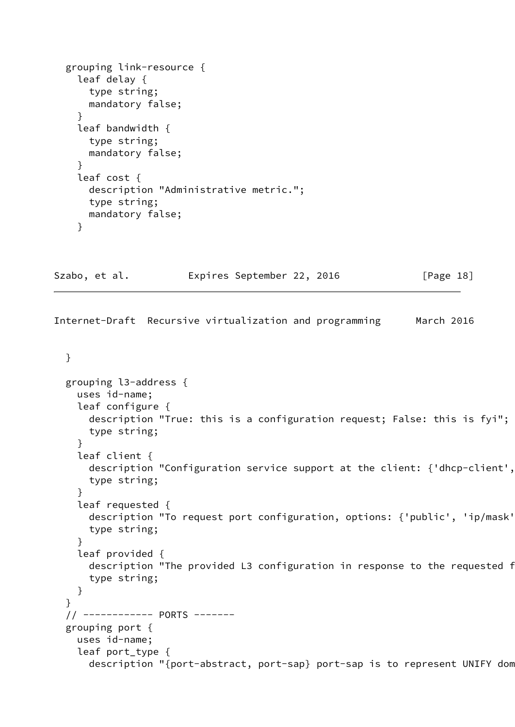```
 grouping link-resource {
     leaf delay {
       type string;
       mandatory false;
     }
     leaf bandwidth {
       type string;
       mandatory false;
     }
     leaf cost {
       description "Administrative metric.";
       type string;
       mandatory false;
     }
Szabo, et al.           Expires September 22, 2016             [Page 18]
Internet-Draft Recursive virtualization and programming March 2016
   }
   grouping l3-address {
     uses id-name;
     leaf configure {
       description "True: this is a configuration request; False: this is fyi";
       type string;
     }
     leaf client {
      description "Configuration service support at the client: {'dhcp-client',
       type string;
     }
     leaf requested {
      description "To request port configuration, options: {'public', 'ip/mask'
       type string;
     }
     leaf provided {
      description "The provided L3 configuration in response to the requested f
       type string;
     }
   }
   // ------------ PORTS -------
   grouping port {
     uses id-name;
     leaf port_type {
      description "{port-abstract, port-sap} port-sap is to represent UNIFY dom
```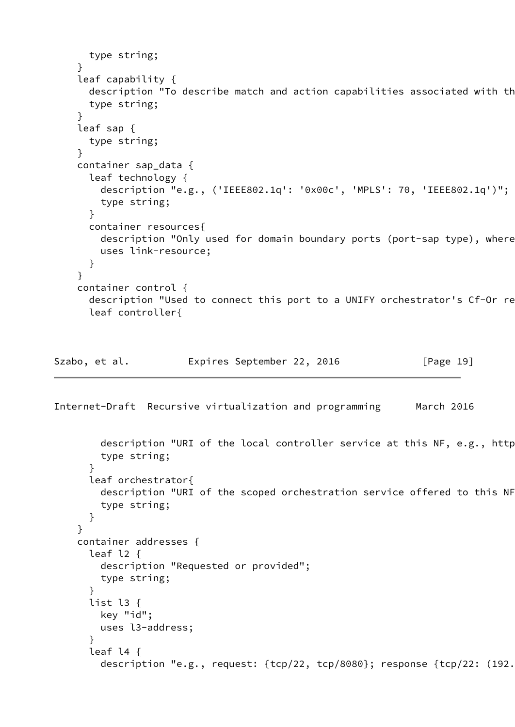```
 type string;
     }
     leaf capability {
      description "To describe match and action capabilities associated with th
       type string;
     }
     leaf sap {
       type string;
     }
     container sap_data {
       leaf technology {
         description "e.g., ('IEEE802.1q': '0x00c', 'MPLS': 70, 'IEEE802.1q')";
         type string;
       }
       container resources{
        description "Only used for domain boundary ports (port-sap type), where
         uses link-resource;
       }
     }
     container control {
      description "Used to connect this port to a UNIFY orchestrator's Cf-Or re
       leaf controller{
Szabo, et al.         Expires September 22, 2016         [Page 19]
Internet-Draft Recursive virtualization and programming March 2016
        description "URI of the local controller service at this NF, e.g., http
         type string;
       }
       leaf orchestrator{
        description "URI of the scoped orchestration service offered to this NF
         type string;
       }
     }
     container addresses {
       leaf l2 {
         description "Requested or provided";
         type string;
       }
       list l3 {
         key "id";
         uses l3-address;
       }
       leaf l4 {
        description "e.g., request: {tcp/22, tcp/8080}; response {tcp/22: (192.
```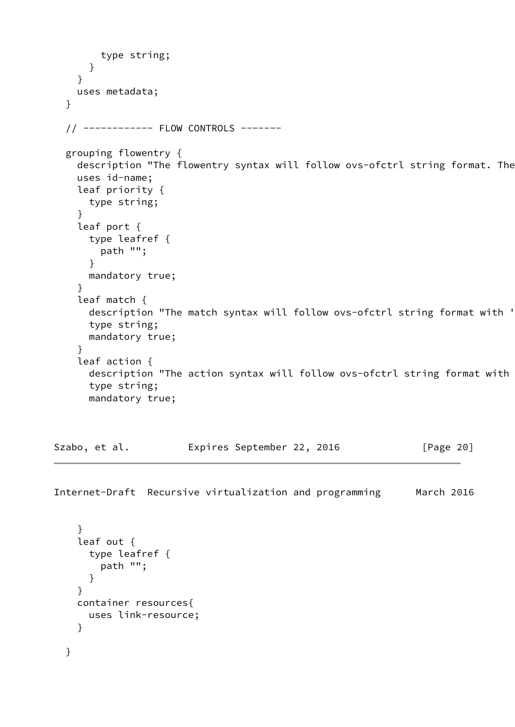```
 type string;
     }
   }
   uses metadata;
 }
 // ------------ FLOW CONTROLS -------
 grouping flowentry {
  description "The flowentry syntax will follow ovs-ofctrl string format. The
   uses id-name;
   leaf priority {
    type string;
   }
   leaf port {
     type leafref {
       path "";
     }
     mandatory true;
   }
   leaf match {
    description "The match syntax will follow ovs-ofctrl string format with '
     type string;
     mandatory true;
   }
   leaf action {
    description "The action syntax will follow ovs-ofctrl string format with
     type string;
     mandatory true;
```

```
Szabo, et al.         Expires September 22, 2016         [Page 20]
```

```
 }
   leaf out {
     type leafref {
       path "";
     }
   }
   container resources{
     uses link-resource;
   }
 }
```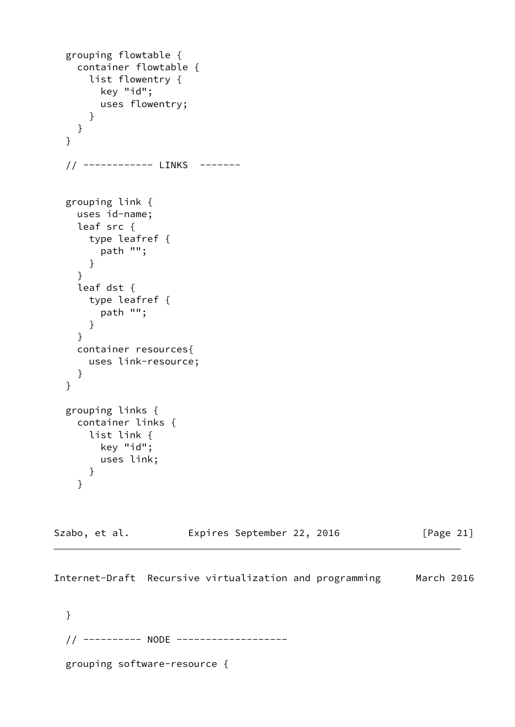```
 grouping flowtable {
   container flowtable {
     list flowentry {
       key "id";
       uses flowentry;
     }
  }
 }
 // ------------ LINKS -------
 grouping link {
   uses id-name;
   leaf src {
     type leafref {
       path "";
     }
   }
   leaf dst {
     type leafref {
       path "";
     }
   }
   container resources{
     uses link-resource;
   }
 }
 grouping links {
   container links {
     list link {
       key "id";
       uses link;
     }
   }
```

| Szabo, et al. |  | Expires September 22, 2016 |  |  | [Page 21] |
|---------------|--|----------------------------|--|--|-----------|
|---------------|--|----------------------------|--|--|-----------|

 } // ---------- NODE ------------------ grouping software-resource {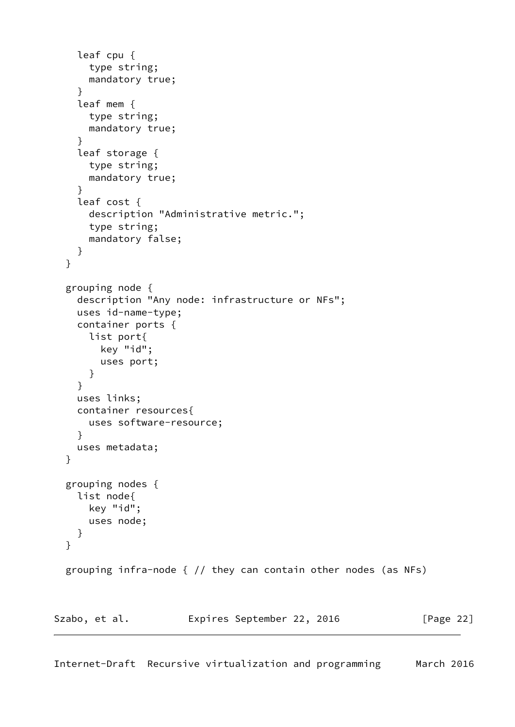```
 leaf cpu {
       type string;
       mandatory true;
     }
     leaf mem {
       type string;
       mandatory true;
     }
     leaf storage {
       type string;
       mandatory true;
     }
     leaf cost {
       description "Administrative metric.";
       type string;
       mandatory false;
     }
   }
   grouping node {
     description "Any node: infrastructure or NFs";
     uses id-name-type;
     container ports {
       list port{
         key "id";
         uses port;
       }
     }
     uses links;
     container resources{
       uses software-resource;
     }
     uses metadata;
   }
   grouping nodes {
     list node{
       key "id";
       uses node;
     }
   }
   grouping infra-node { // they can contain other nodes (as NFs)
Szabo, et al. Expires September 22, 2016 [Page 22]
```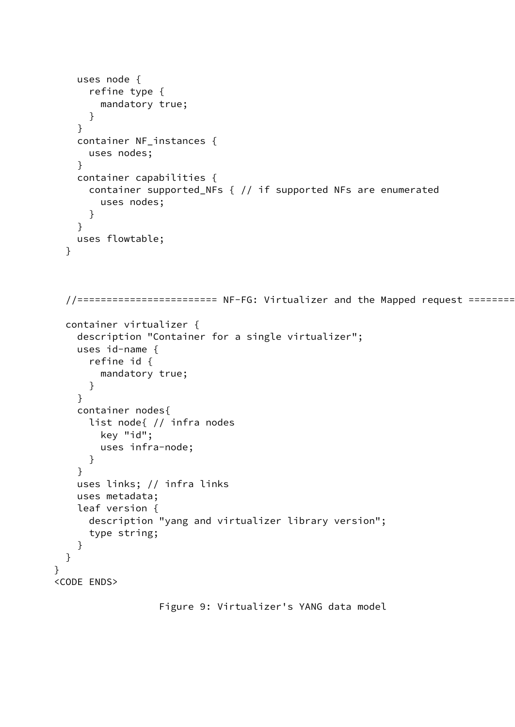```
 uses node {
       refine type {
         mandatory true;
       }
     }
     container NF_instances {
       uses nodes;
     }
     container capabilities {
       container supported_NFs { // if supported NFs are enumerated
         uses nodes;
       }
     }
     uses flowtable;
   }
   //======================== NF-FG: Virtualizer and the Mapped request =========================
   container virtualizer {
     description "Container for a single virtualizer";
     uses id-name {
       refine id {
         mandatory true;
       }
     }
     container nodes{
       list node{ // infra nodes
         key "id";
         uses infra-node;
       }
     }
     uses links; // infra links
     uses metadata;
     leaf version {
       description "yang and virtualizer library version";
       type string;
     }
   }
}
<CODE ENDS>
```

```
 Figure 9: Virtualizer's YANG data model
```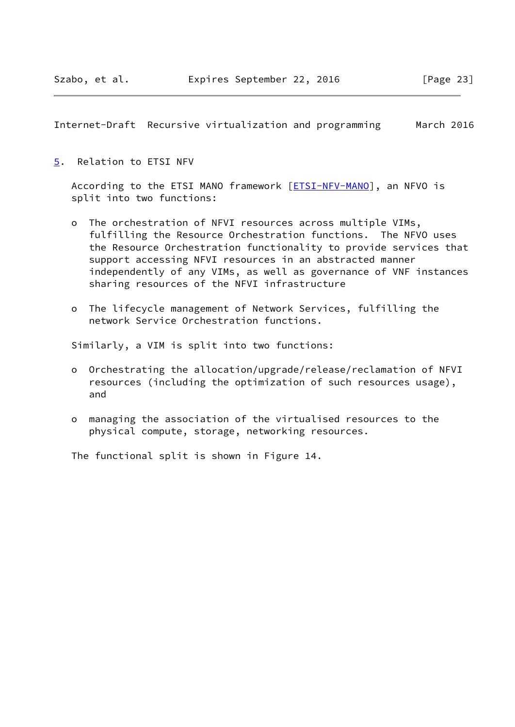<span id="page-26-1"></span><span id="page-26-0"></span>[5](#page-26-0). Relation to ETSI NFV

According to the ETSI MANO framework [\[ETSI-NFV-MANO\]](#page-42-6), an NFVO is split into two functions:

- o The orchestration of NFVI resources across multiple VIMs, fulfilling the Resource Orchestration functions. The NFVO uses the Resource Orchestration functionality to provide services that support accessing NFVI resources in an abstracted manner independently of any VIMs, as well as governance of VNF instances sharing resources of the NFVI infrastructure
- o The lifecycle management of Network Services, fulfilling the network Service Orchestration functions.

Similarly, a VIM is split into two functions:

- o Orchestrating the allocation/upgrade/release/reclamation of NFVI resources (including the optimization of such resources usage), and
- o managing the association of the virtualised resources to the physical compute, storage, networking resources.

The functional split is shown in Figure 14.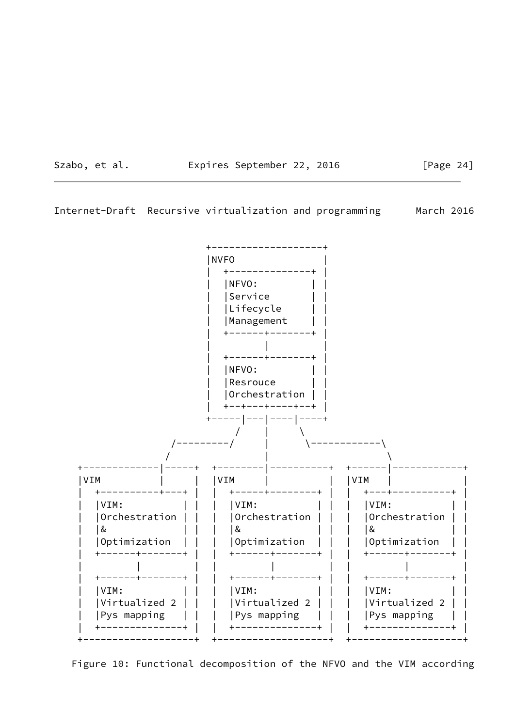Szabo, et al. **Expires September 22, 2016** [Page 24]

Internet-Draft Recursive virtualization and programming March 2016



Figure 10: Functional decomposition of the NFVO and the VIM according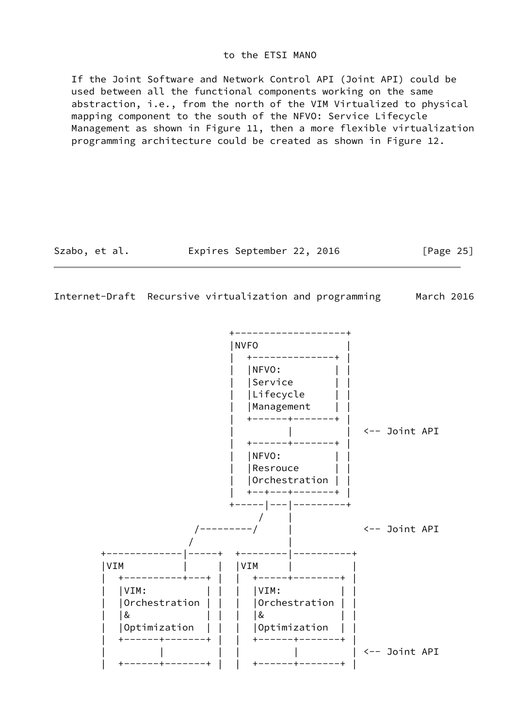#### to the ETSI MANO

 If the Joint Software and Network Control API (Joint API) could be used between all the functional components working on the same abstraction, i.e., from the north of the VIM Virtualized to physical mapping component to the south of the NFVO: Service Lifecycle Management as shown in Figure 11, then a more flexible virtualization programming architecture could be created as shown in Figure 12.

Szabo, et al. **Expires September 22, 2016** [Page 25]

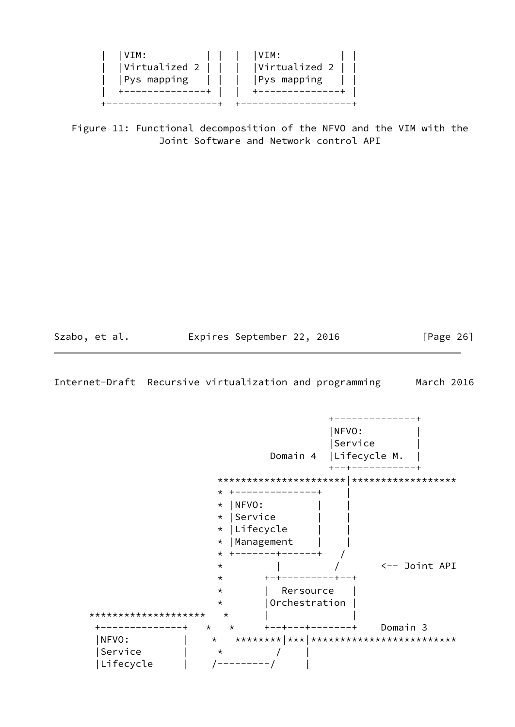| IVIM: |  | VIM:<br>$ Virtualized 2       Virtualized 2    $<br> Pys mapping        Pys mapping |  |
|-------|--|-------------------------------------------------------------------------------------|--|
|       |  |                                                                                     |  |

 Figure 11: Functional decomposition of the NFVO and the VIM with the Joint Software and Network control API

<span id="page-29-0"></span>

Szabo, et al. **Expires September 22, 2016** [Page 26]

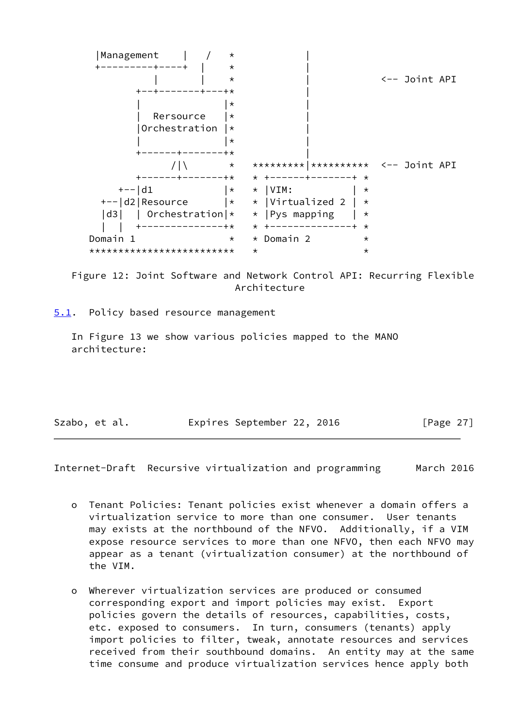

 Figure 12: Joint Software and Network Control API: Recurring Flexible Architecture

<span id="page-30-0"></span>[5.1](#page-30-0). Policy based resource management

 In Figure 13 we show various policies mapped to the MANO architecture:

| Szabo, et al. | Expires September 22, 2016 |  | [Page 27] |  |
|---------------|----------------------------|--|-----------|--|
|               |                            |  |           |  |

- o Tenant Policies: Tenant policies exist whenever a domain offers a virtualization service to more than one consumer. User tenants may exists at the northbound of the NFVO. Additionally, if a VIM expose resource services to more than one NFVO, then each NFVO may appear as a tenant (virtualization consumer) at the northbound of the VIM.
- o Wherever virtualization services are produced or consumed corresponding export and import policies may exist. Export policies govern the details of resources, capabilities, costs, etc. exposed to consumers. In turn, consumers (tenants) apply import policies to filter, tweak, annotate resources and services received from their southbound domains. An entity may at the same time consume and produce virtualization services hence apply both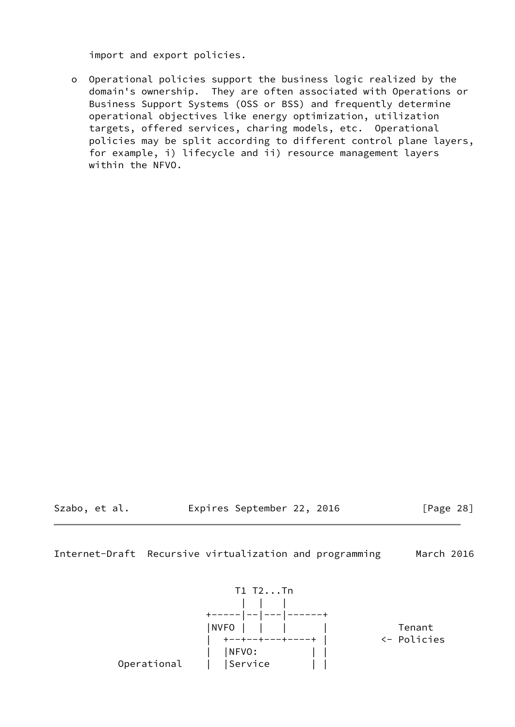import and export policies.

 o Operational policies support the business logic realized by the domain's ownership. They are often associated with Operations or Business Support Systems (OSS or BSS) and frequently determine operational objectives like energy optimization, utilization targets, offered services, charing models, etc. Operational policies may be split according to different control plane layers, for example, i) lifecycle and ii) resource management layers within the NFVO.

<span id="page-31-0"></span>

Szabo, et al. **Expires September 22, 2016** [Page 28]

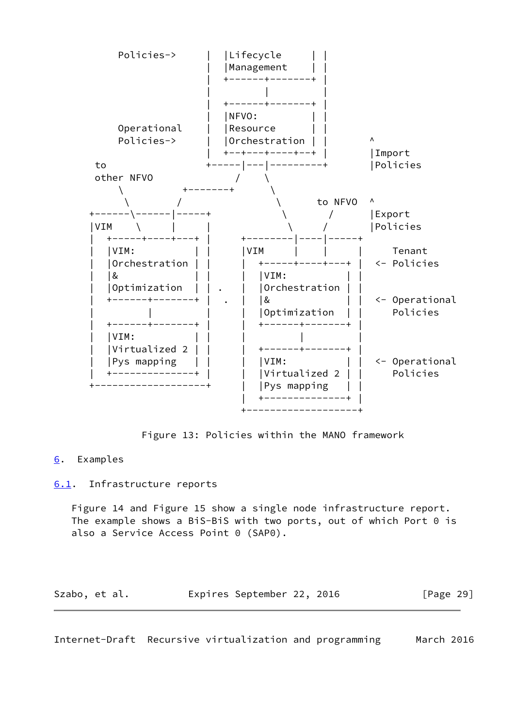

Figure 13: Policies within the MANO framework

# <span id="page-32-0"></span>[6](#page-32-0). Examples

## <span id="page-32-1"></span>[6.1](#page-32-1). Infrastructure reports

 Figure 14 and Figure 15 show a single node infrastructure report. The example shows a BiS-BiS with two ports, out of which Port 0 is also a Service Access Point 0 (SAP0).

| Szabo, et al. | Expires September 22, 2016 |  |  |  | [Page 29] |
|---------------|----------------------------|--|--|--|-----------|
|---------------|----------------------------|--|--|--|-----------|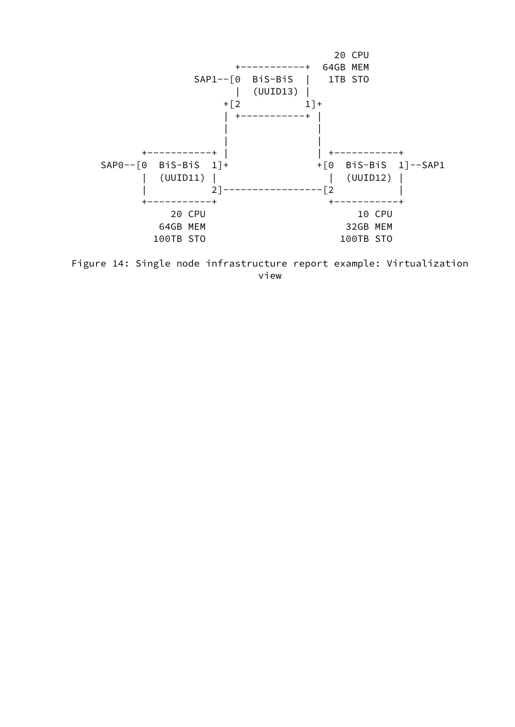

 Figure 14: Single node infrastructure report example: Virtualization view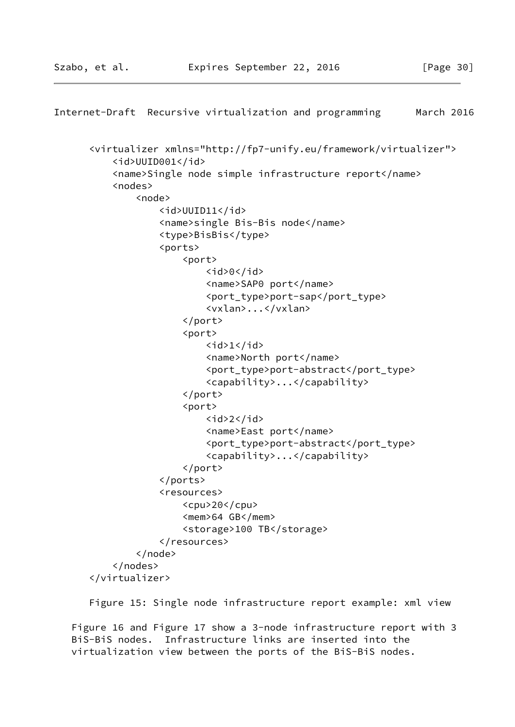```
Internet-Draft Recursive virtualization and programming March 2016
       <virtualizer xmlns="http://fp7-unify.eu/framework/virtualizer">
            <id>UUID001</id>
            <name>Single node simple infrastructure report</name>
            <nodes>
                <node>
                    <id>UUID11</id>
                    <name>single Bis-Bis node</name>
                    <type>BisBis</type>
                    <ports>
                         <port>
                            \langleid>0\langleid>
                             <name>SAP0 port</name>
                             <port_type>port-sap</port_type>
                             <vxlan>...</vxlan>
                         </port>
                         <port>

                             <name>North port</name>
                             <port_type>port-abstract</port_type>
                             <capability>...</capability>
                         </port>
                         <port>
                            \langleid>2\langleid>
                             <name>East port</name>
                             <port_type>port-abstract</port_type>
                             <capability>...</capability>
                         </port>
                    </ports>
                    <resources>
                         <cpu>20</cpu>
                         <mem>64 GB</mem>
                         <storage>100 TB</storage>
                    </resources>
                </node>
            </nodes>
       </virtualizer>
```
Figure 15: Single node infrastructure report example: xml view

 Figure 16 and Figure 17 show a 3-node infrastructure report with 3 BiS-BiS nodes. Infrastructure links are inserted into the virtualization view between the ports of the BiS-BiS nodes.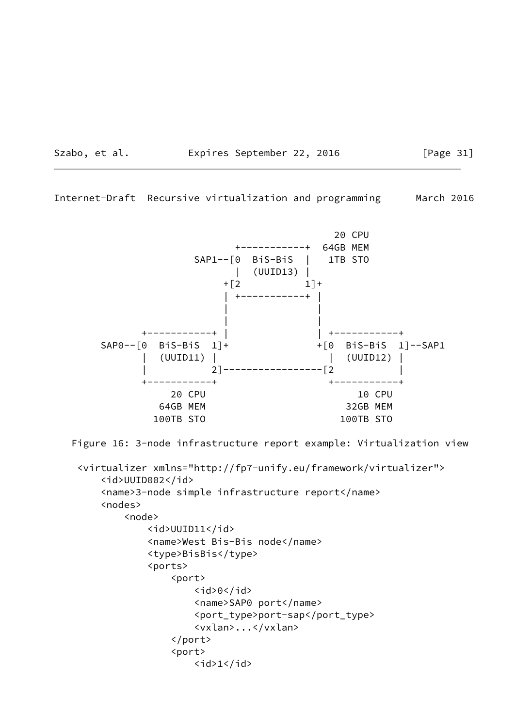Szabo, et al. **Expires September 22, 2016** [Page 31]

Internet-Draft Recursive virtualization and programming March 2016



Figure 16: 3-node infrastructure report example: Virtualization view

```
 <virtualizer xmlns="http://fp7-unify.eu/framework/virtualizer">
     <id>UUID002</id>
     <name>3-node simple infrastructure report</name>
     <nodes>
         <node>
              <id>UUID11</id>
              <name>West Bis-Bis node</name>
              <type>BisBis</type>
              <ports>
                  <port>
                      <id>0</id>
                       <name>SAP0 port</name>
                       <port_type>port-sap</port_type>
                       <vxlan>...</vxlan>
                  </port>
                  <port>
                      \langleid>1\langleid>
```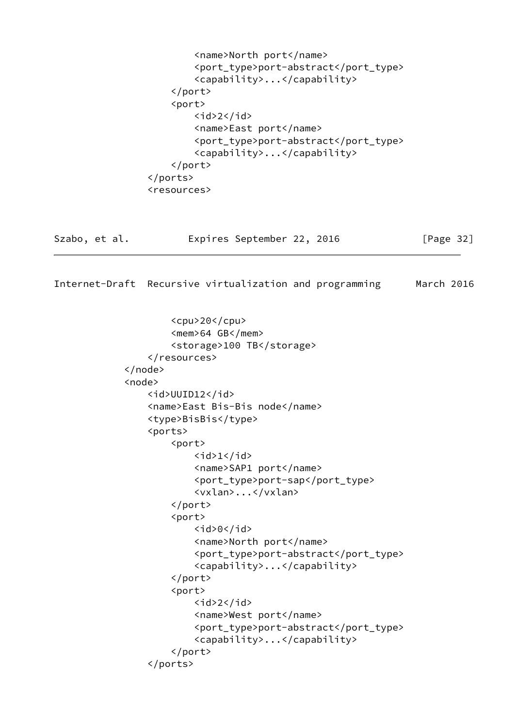```
 <name>North port</name>
                          <port_type>port-abstract</port_type>
                          <capability>...</capability>
                      </port>
                      <port>
                         \langleid>2\langleid>
                          <name>East port</name>
                          <port_type>port-abstract</port_type>
                          <capability>...</capability>
                      </port>
                  </ports>
                  <resources>
Szabo, et al.           Expires September 22, 2016           [Page 32]
Internet-Draft Recursive virtualization and programming March 2016
                      <cpu>20</cpu>
                      <mem>64 GB</mem>
                      <storage>100 TB</storage>
                  </resources>
              </node>
              <node>
                  <id>UUID12</id>
                  <name>East Bis-Bis node</name>
                  <type>BisBis</type>
                  <ports>
                      <port>
                         <id>1</id>
                          <name>SAP1 port</name>
                          <port_type>port-sap</port_type>
                          <vxlan>...</vxlan>
                      </port>
                      <port>
                         <id>0</id>
                          <name>North port</name>
                          <port_type>port-abstract</port_type>
                          <capability>...</capability>
                      </port>
                      <port>

                          <name>West port</name>
                          <port_type>port-abstract</port_type>
                          <capability>...</capability>
                      </port>
                  </ports>
```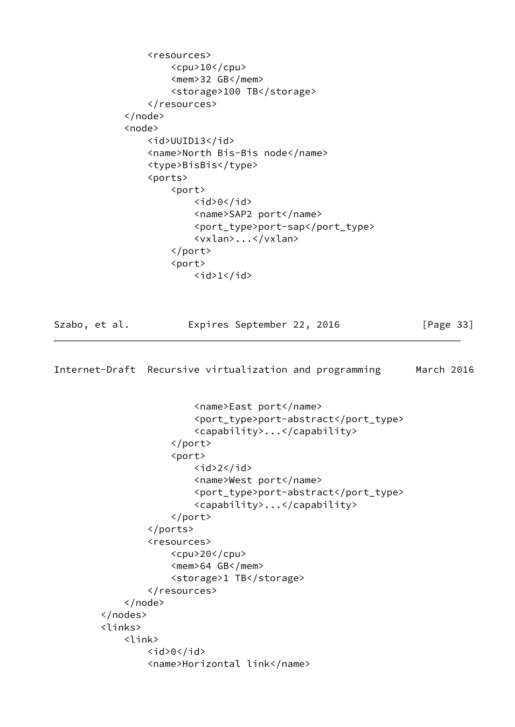```
 <resources>
                     <cpu>10</cpu> <mem>32 GB</mem>
                      <storage>100 TB</storage>
                 </resources>
             </node>
             <node>
                 <id>UUID13</id>
                 <name>North Bis-Bis node</name>
                 <type>BisBis</type>
                 <ports>
                     <port>
                         <id>0</id>
                          <name>SAP2 port</name>
                          <port_type>port-sap</port_type>
                          <vxlan>...</vxlan>
                      </port>
                      <port>

Szabo, et al. Expires September 22, 2016 [Page 33]
Internet-Draft Recursive virtualization and programming March 2016
                          <name>East port</name>
                          <port_type>port-abstract</port_type>
                          <capability>...</capability>
                      </port>
                      <port>
                         \langleid>2\langleid>
                          <name>West port</name>
                          <port_type>port-abstract</port_type>
                          <capability>...</capability>
                      </port>
                 </ports>
                 <resources>
                      <cpu>20</cpu>
                      <mem>64 GB</mem>
                      <storage>1 TB</storage>
                 </resources>
             </node>
         </nodes>
         <links>
             <link>
                <id>0</id>
                 <name>Horizontal link</name>
```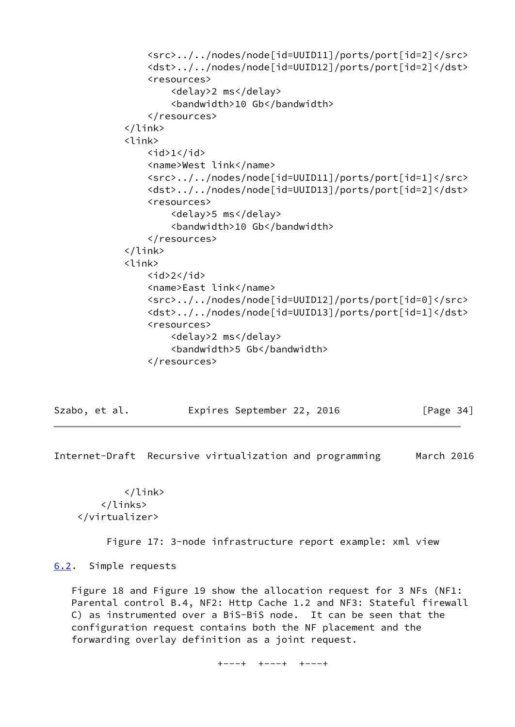```
 <src>../../nodes/node[id=UUID11]/ports/port[id=2]</src>
     <dst>../../nodes/node[id=UUID12]/ports/port[id=2]</dst>
     <resources>
         <delay>2 ms</delay>
         <bandwidth>10 Gb</bandwidth>
     </resources>
\langle/link>
 <link>
    \langleid>1</id>
     <name>West link</name>
     <src>../../nodes/node[id=UUID11]/ports/port[id=1]</src>
     <dst>../../nodes/node[id=UUID13]/ports/port[id=2]</dst>
     <resources>
         <delay>5 ms</delay>
         <bandwidth>10 Gb</bandwidth>
     </resources>
 </link>
 <link>
    <id>2</id>
     <name>East link</name>
     <src>../../nodes/node[id=UUID12]/ports/port[id=0]</src>
     <dst>../../nodes/node[id=UUID13]/ports/port[id=1]</dst>
     <resources>
         <delay>2 ms</delay>
         <bandwidth>5 Gb</bandwidth>
     </resources>
```
<span id="page-38-1"></span>

| Szabo, et al. |  | Expires September 22, 2016 |  |  | [Page $34$ ] |  |
|---------------|--|----------------------------|--|--|--------------|--|
|---------------|--|----------------------------|--|--|--------------|--|

 </link> </links> </virtualizer>

Figure 17: 3-node infrastructure report example: xml view

<span id="page-38-0"></span>[6.2](#page-38-0). Simple requests

 Figure 18 and Figure 19 show the allocation request for 3 NFs (NF1: Parental control B.4, NF2: Http Cache 1.2 and NF3: Stateful firewall C) as instrumented over a BiS-BiS node. It can be seen that the configuration request contains both the NF placement and the forwarding overlay definition as a joint request.

+---+ +---+ +---+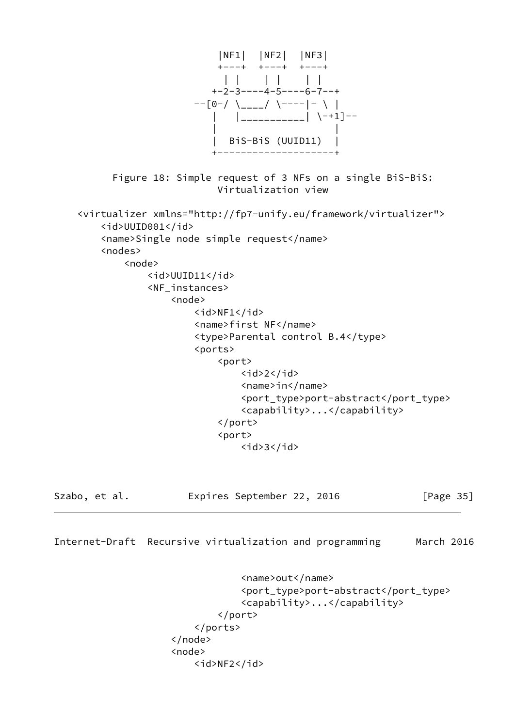

```
 </node>
 <node>
     <id>NF2</id>
```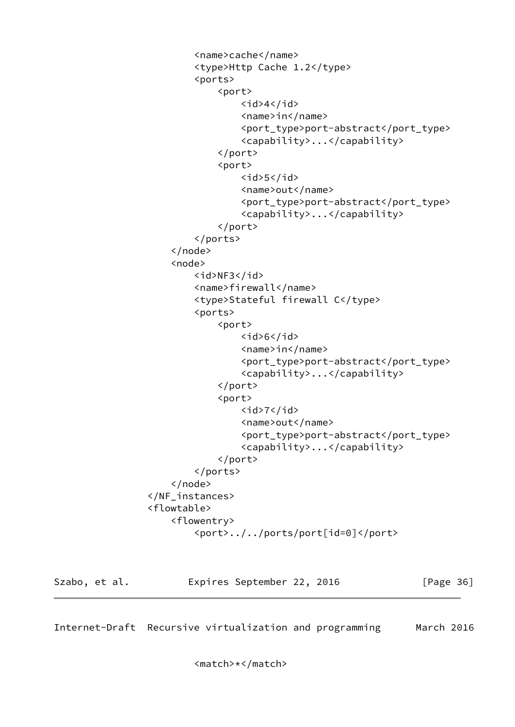```
 <name>cache</name>
                          <type>Http Cache 1.2</type>
                          <ports>
                              <port>
                                  <id>4</id>
                                   <name>in</name>
                                   <port_type>port-abstract</port_type>
                                   <capability>...</capability>
                              </port>
                               <port>
                                  <id>5</id>
                                   <name>out</name>
                                   <port_type>port-abstract</port_type>
                                   <capability>...</capability>
                              </port>
                          </ports>
                      </node>
                      <node>
                          <id>NF3</id>
                          <name>firewall</name>
                          <type>Stateful firewall C</type>
                          <ports>
                              <port>
                                  <id>6</id>
                                   <name>in</name>
                                   <port_type>port-abstract</port_type>
                                   <capability>...</capability>
                              </port>
                               <port>
                                  <id>7</id>
                                   <name>out</name>
                                   <port_type>port-abstract</port_type>
                                   <capability>...</capability>
                              </port>
                          </ports>
                      </node>
                  </NF_instances>
                  <flowtable>
                      <flowentry>
                          <port>../../ports/port[id=0]</port>
Szabo, et al. Expires September 22, 2016 [Page 36]
```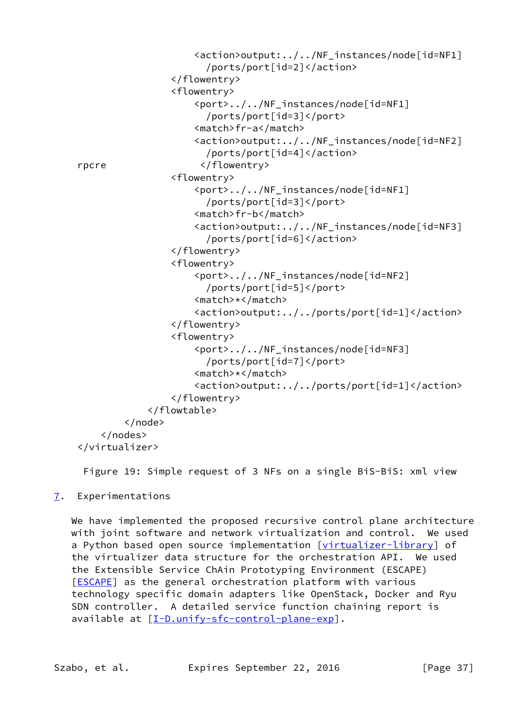```
 <action>output:../../NF_instances/node[id=NF1]
                        /ports/port[id=2]</action>
                  </flowentry>
                  <flowentry>
                      <port>../../NF_instances/node[id=NF1]
                        /ports/port[id=3]</port>
                      <match>fr-a</match>
                      <action>output:../../NF_instances/node[id=NF2]
                        /ports/port[id=4]</action>
 rpcre </flowentry>
                 <flowentry>
                      <port>../../NF_instances/node[id=NF1]
                        /ports/port[id=3]</port>
                      <match>fr-b</match>
                      <action>output:../../NF_instances/node[id=NF3]
                        /ports/port[id=6]</action>
                 </flowentry>
                  <flowentry>
                      <port>../../NF_instances/node[id=NF2]
                        /ports/port[id=5]</port>
                      <match>*</match>
                      <action>output:../../ports/port[id=1]</action>
                 </flowentry>
                  <flowentry>
                      <port>../../NF_instances/node[id=NF3]
                        /ports/port[id=7]</port>
                      <match>*</match>
                      <action>output:../../ports/port[id=1]</action>
                 </flowentry>
             </flowtable>
         </node>
     </nodes>
 </virtualizer>
```
Figure 19: Simple request of 3 NFs on a single BiS-BiS: xml view

# <span id="page-41-0"></span>[7](#page-41-0). Experimentations

We have implemented the proposed recursive control plane architecture with joint software and network virtualization and control. We used a Python based open source implementation [[virtualizer-library](#page-43-3)] of the virtualizer data structure for the orchestration API. We used the Extensible Service ChAin Prototyping Environment (ESCAPE) [**ESCAPE**] as the general orchestration platform with various technology specific domain adapters like OpenStack, Docker and Ryu SDN controller. A detailed service function chaining report is available at [\[I-D.unify-sfc-control-plane-exp](#page-43-4)].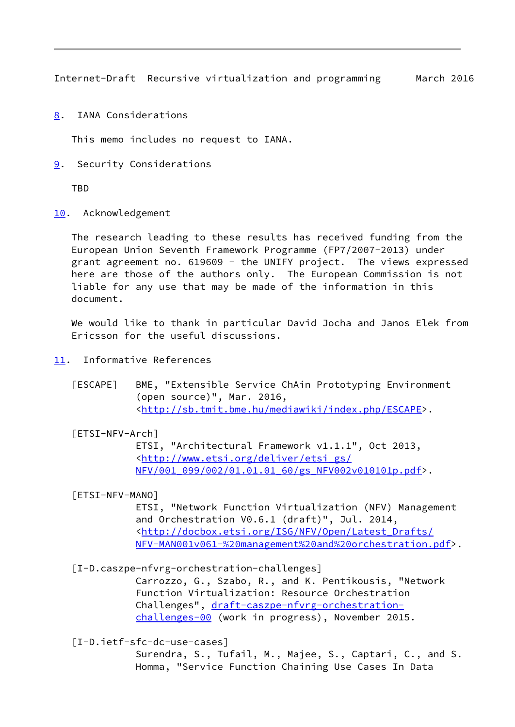<span id="page-42-1"></span><span id="page-42-0"></span>[8](#page-42-0). IANA Considerations

This memo includes no request to IANA.

<span id="page-42-2"></span>[9](#page-42-2). Security Considerations

TBD

<span id="page-42-3"></span>[10.](#page-42-3) Acknowledgement

 The research leading to these results has received funding from the European Union Seventh Framework Programme (FP7/2007-2013) under grant agreement no. 619609 - the UNIFY project. The views expressed here are those of the authors only. The European Commission is not liable for any use that may be made of the information in this document.

 We would like to thank in particular David Jocha and Janos Elek from Ericsson for the useful discussions.

- <span id="page-42-9"></span><span id="page-42-4"></span>[11.](#page-42-4) Informative References
	- [ESCAPE] BME, "Extensible Service ChAin Prototyping Environment (open source)", Mar. 2016, <[http://sb.tmit.bme.hu/mediawiki/index.php/ESCAPE>](http://sb.tmit.bme.hu/mediawiki/index.php/ESCAPE).

<span id="page-42-5"></span>[ETSI-NFV-Arch]

 ETSI, "Architectural Framework v1.1.1", Oct 2013, <[http://www.etsi.org/deliver/etsi\\_gs/](http://www.etsi.org/deliver/etsi_gs/NFV/001_099/002/01.01.01_60/gs_NFV002v010101p.pdf) [NFV/001\\_099/002/01.01.01\\_60/gs\\_NFV002v010101p.pdf>](http://www.etsi.org/deliver/etsi_gs/NFV/001_099/002/01.01.01_60/gs_NFV002v010101p.pdf).

# <span id="page-42-6"></span>[ETSI-NFV-MANO]

 ETSI, "Network Function Virtualization (NFV) Management and Orchestration V0.6.1 (draft)", Jul. 2014, <[http://docbox.etsi.org/ISG/NFV/Open/Latest\\_Drafts/](http://docbox.etsi.org/ISG/NFV/Open/Latest_Drafts/NFV-MAN001v061-%20management%20and%20orchestration.pdf) [NFV-MAN001v061-%20management%20and%20orchestration.pdf](http://docbox.etsi.org/ISG/NFV/Open/Latest_Drafts/NFV-MAN001v061-%20management%20and%20orchestration.pdf)>.

<span id="page-42-8"></span>[I-D.caszpe-nfvrg-orchestration-challenges]

 Carrozzo, G., Szabo, R., and K. Pentikousis, "Network Function Virtualization: Resource Orchestration Challenges", [draft-caszpe-nfvrg-orchestration](https://datatracker.ietf.org/doc/pdf/draft-caszpe-nfvrg-orchestration-challenges-00) [challenges-00](https://datatracker.ietf.org/doc/pdf/draft-caszpe-nfvrg-orchestration-challenges-00) (work in progress), November 2015.

<span id="page-42-7"></span>[I-D.ietf-sfc-dc-use-cases]

 Surendra, S., Tufail, M., Majee, S., Captari, C., and S. Homma, "Service Function Chaining Use Cases In Data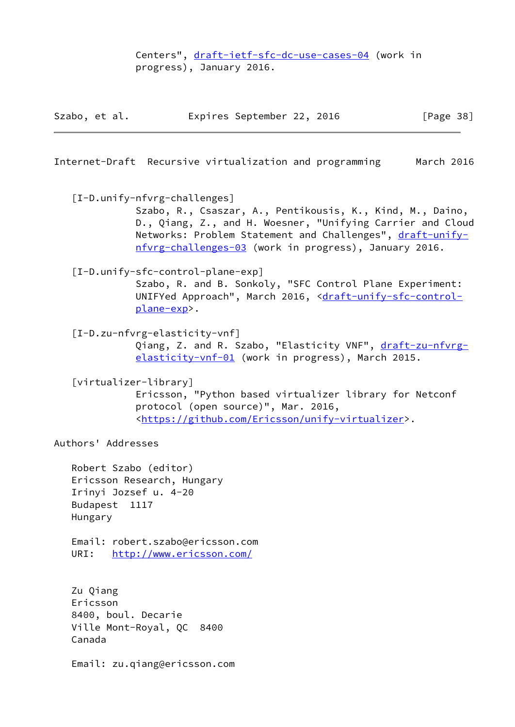Centers", [draft-ietf-sfc-dc-use-cases-04](https://datatracker.ietf.org/doc/pdf/draft-ietf-sfc-dc-use-cases-04) (work in progress), January 2016.

|  | Szabo, et al. | Expires September 22, 2016 | [Page 38] |
|--|---------------|----------------------------|-----------|
|--|---------------|----------------------------|-----------|

<span id="page-43-1"></span>Internet-Draft Recursive virtualization and programming March 2016

<span id="page-43-0"></span>[I-D.unify-nfvrg-challenges]

 Szabo, R., Csaszar, A., Pentikousis, K., Kind, M., Daino, D., Qiang, Z., and H. Woesner, "Unifying Carrier and Cloud Networks: Problem Statement and Challenges", [draft-unify](https://datatracker.ietf.org/doc/pdf/draft-unify-nfvrg-challenges-03) [nfvrg-challenges-03](https://datatracker.ietf.org/doc/pdf/draft-unify-nfvrg-challenges-03) (work in progress), January 2016.

<span id="page-43-4"></span>[I-D.unify-sfc-control-plane-exp]

 Szabo, R. and B. Sonkoly, "SFC Control Plane Experiment: UNIFYed Approach", March 2016, <[draft-unify-sfc-control](https://datatracker.ietf.org/doc/pdf/draft-unify-sfc-control-plane-exp) [plane-exp>](https://datatracker.ietf.org/doc/pdf/draft-unify-sfc-control-plane-exp).

<span id="page-43-2"></span>[I-D.zu-nfvrg-elasticity-vnf]

Qiang, Z. and R. Szabo, "Elasticity VNF", [draft-zu-nfvrg](https://datatracker.ietf.org/doc/pdf/draft-zu-nfvrg-elasticity-vnf-01) [elasticity-vnf-01](https://datatracker.ietf.org/doc/pdf/draft-zu-nfvrg-elasticity-vnf-01) (work in progress), March 2015.

<span id="page-43-3"></span>[virtualizer-library]

 Ericsson, "Python based virtualizer library for Netconf protocol (open source)", Mar. 2016, <[https://github.com/Ericsson/unify-virtualizer>](https://github.com/Ericsson/unify-virtualizer).

Authors' Addresses

 Robert Szabo (editor) Ericsson Research, Hungary Irinyi Jozsef u. 4-20 Budapest 1117 Hungary

 Email: robert.szabo@ericsson.com URI: <http://www.ericsson.com/>

 Zu Qiang Ericsson 8400, boul. Decarie Ville Mont-Royal, QC 8400 Canada

Email: zu.qiang@ericsson.com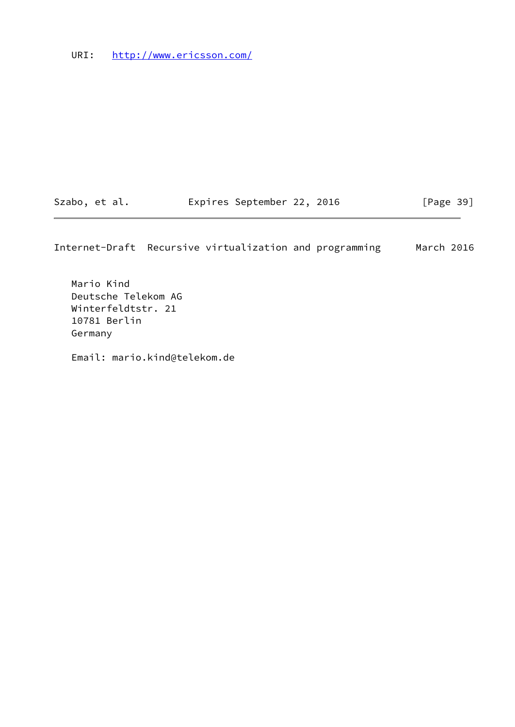URI: <http://www.ericsson.com/>

Szabo, et al. **Expires September 22, 2016** [Page 39]

Internet-Draft Recursive virtualization and programming March 2016

 Mario Kind Deutsche Telekom AG Winterfeldtstr. 21 10781 Berlin Germany

Email: mario.kind@telekom.de